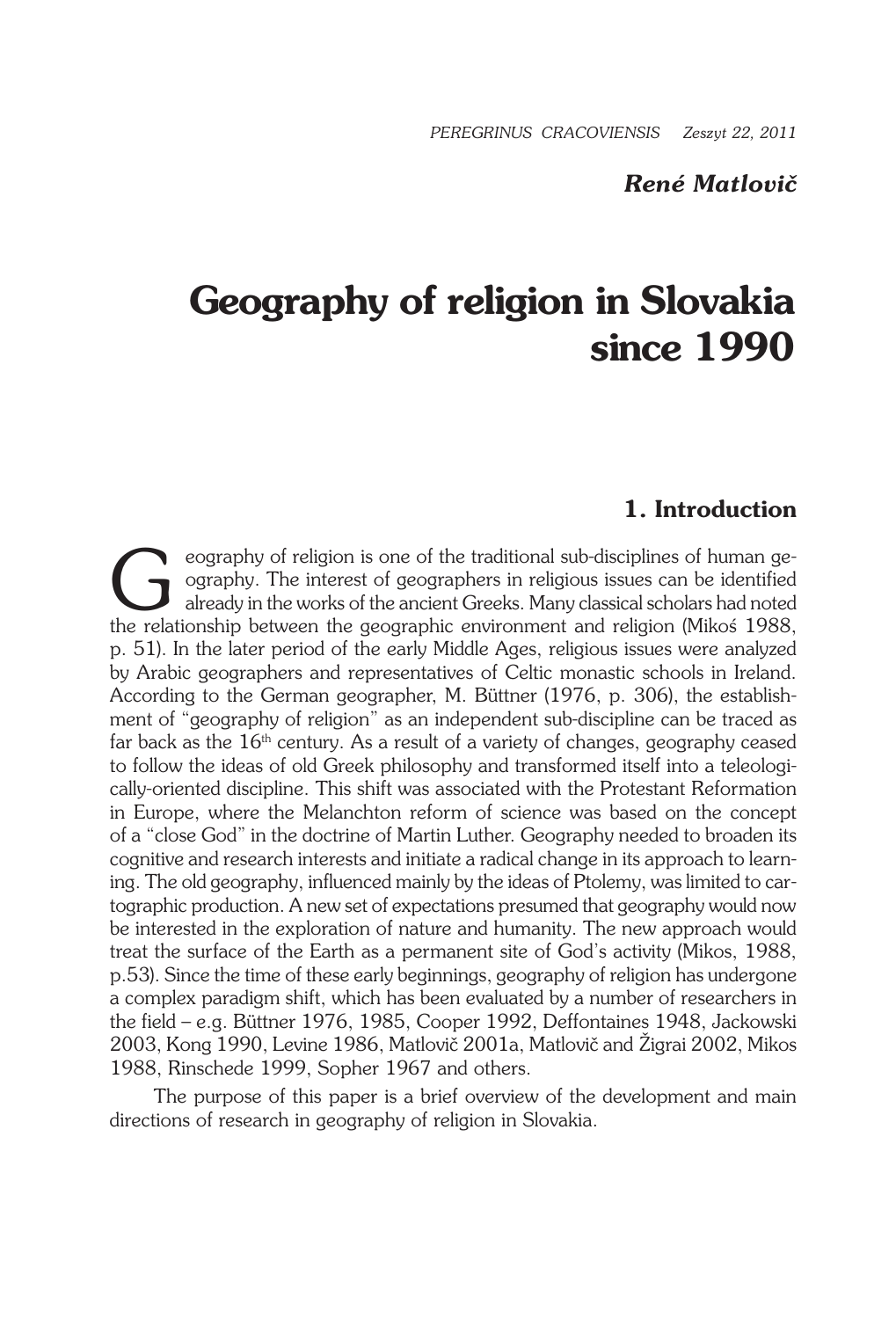### *René Matlovič*

# **Geography of religion in Slovakia since 1990**

# **1. Introduction**

eography of religion is one of the traditional sub-disciplines of human geography. The interest of geographers in religious issues can be identified already in the works of the ancient Greeks. Many classical scholars had n ography. The interest of geographers in religious issues can be identified already in the works of the ancient Greeks. Many classical scholars had noted the relationship between the geographic environment and religion (Mikoś 1988, p. 51). In the later period of the early Middle Ages, religious issues were analyzed by Arabic geographers and representatives of Celtic monastic schools in Ireland. According to the German geographer, M. Büttner (1976, p. 306), the establishment of "geography of religion" as an independent sub-discipline can be traced as far back as the  $16<sup>th</sup>$  century. As a result of a variety of changes, geography ceased to follow the ideas of old Greek philosophy and transformed itself into a teleologically-oriented discipline. This shift was associated with the Protestant Reformation in Europe, where the Melanchton reform of science was based on the concept of a "close God" in the doctrine of Martin Luther. Geography needed to broaden its cognitive and research interests and initiate a radical change in its approach to learning. The old geography, influenced mainly by the ideas of Ptolemy, was limited to cartographic production. A new set of expectations presumed that geography would now be interested in the exploration of nature and humanity. The new approach would treat the surface of the Earth as a permanent site of God's activity (Mikos, 1988, p.53). Since the time of these early beginnings, geography of religion has undergone a complex paradigm shift, which has been evaluated by a number of researchers in the field – e.g. Büttner 1976, 1985, Cooper 1992, Deffontaines 1948, Jackowski 2003, Kong 1990, Levine 1986, Matlovič 2001a, Matlovič and Žigrai 2002, Mikos 1988, Rinschede 1999, Sopher 1967 and others.

The purpose of this paper is a brief overview of the development and main directions of research in geography of religion in Slovakia.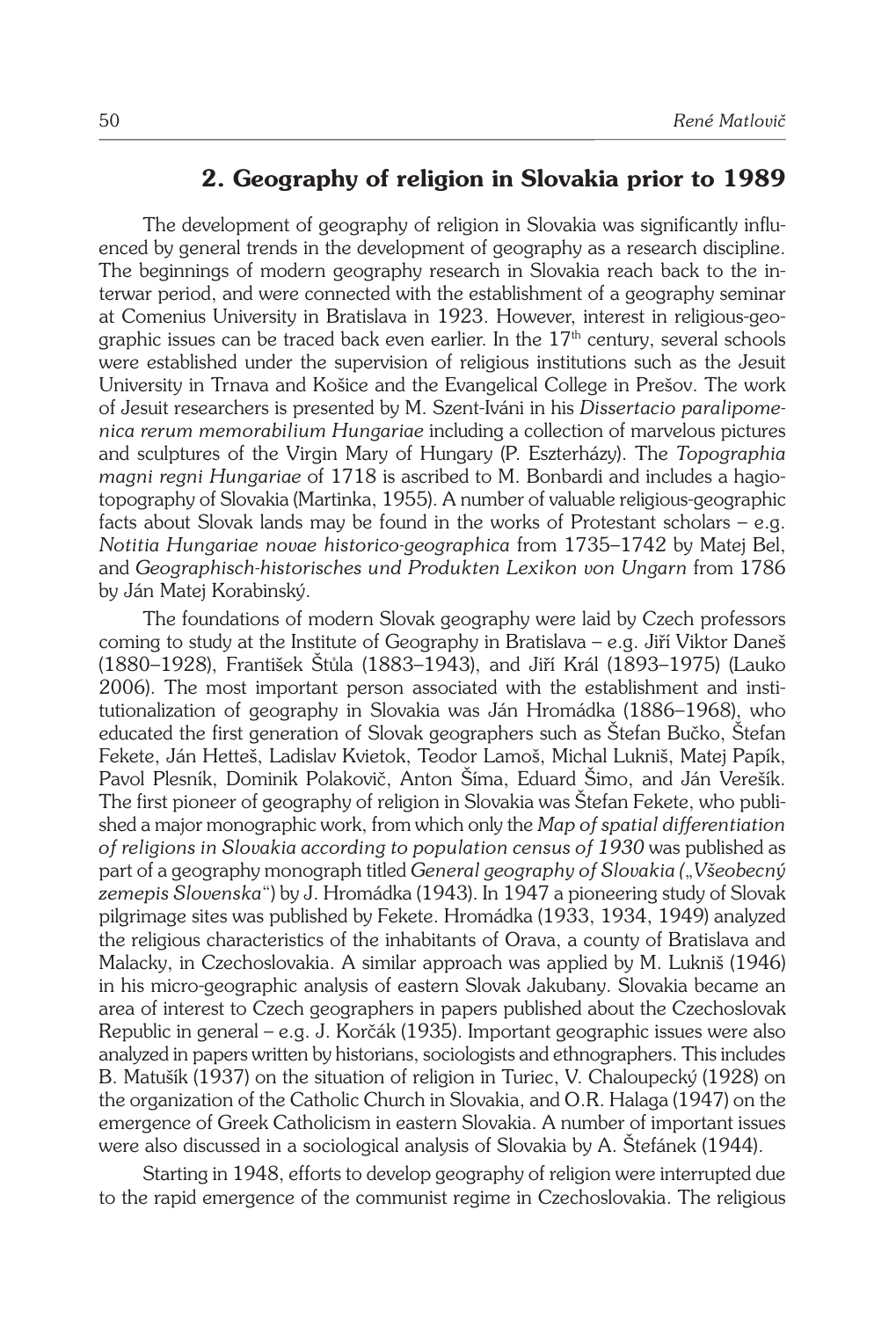# **2. Geography of religion in Slovakia prior to 1989**

The development of geography of religion in Slovakia was significantly influenced by general trends in the development of geography as a research discipline. The beginnings of modern geography research in Slovakia reach back to the interwar period, and were connected with the establishment of a geography seminar at Comenius University in Bratislava in 1923. However, interest in religious-geographic issues can be traced back even earlier. In the  $17<sup>th</sup>$  century, several schools were established under the supervision of religious institutions such as the Jesuit University in Trnava and Košice and the Evangelical College in Prešov. The work of Jesuit researchers is presented by M. Szent-Iváni in his *Dissertacio paralipomenica rerum memorabilium Hungariae* including a collection of marvelous pictures and sculptures of the Virgin Mary of Hungary (P. Eszterházy). The *Topographia magni regni Hungariae* of 1718 is ascribed to M. Bonbardi and includes a hagiotopography of Slovakia (Martinka, 1955). A number of valuable religious-geographic facts about Slovak lands may be found in the works of Protestant scholars – e.g. *Notitia Hungariae novae historico-geographica* from 1735–1742 by Matej Bel, and *Geographisch-historisches und Produkten Lexikon von Ungarn* from 1786 by Ján Matej Korabinský.

The foundations of modern Slovak geography were laid by Czech professors coming to study at the Institute of Geography in Bratislava – e.g. Jiří Viktor Daneš (1880–1928), František Štůla (1883–1943), and Jiří Král (1893–1975) (Lauko 2006). The most important person associated with the establishment and institutionalization of geography in Slovakia was Ján Hromádka (1886–1968), who educated the first generation of Slovak geographers such as Štefan Bučko, Štefan Fekete, Ján Hetteš, Ladislav Kvietok, Teodor Lamoš, Michal Lukniš, Matej Papík, Pavol Plesník, Dominik Polakovič, Anton Šíma, Eduard Šimo, and Ján Verešík. The first pioneer of geography of religion in Slovakia was Štefan Fekete, who published a major monographic work, from which only the *Map of spatial differentiation of religions in Slovakia according to population census of 1930* was published as part of a geography monograph titled *General geography of Slovakia (*"*Všeobecný zemepis Slovenska*") by J. Hromádka (1943). In 1947 a pioneering study of Slovak pilgrimage sites was published by Fekete. Hromádka (1933, 1934, 1949) analyzed the religious characteristics of the inhabitants of Orava, a county of Bratislava and Malacky, in Czechoslovakia. A similar approach was applied by M. Lukniš (1946) in his micro-geographic analysis of eastern Slovak Jakubany. Slovakia became an area of interest to Czech geographers in papers published about the Czechoslovak Republic in general – e.g. J. Korčák (1935). Important geographic issues were also analyzed in papers written by historians, sociologists and ethnographers. This includes B. Matušík (1937) on the situation of religion in Turiec, V. Chaloupecký (1928) on the organization of the Catholic Church in Slovakia, and O.R. Halaga (1947) on the emergence of Greek Catholicism in eastern Slovakia. A number of important issues were also discussed in a sociological analysis of Slovakia by A. Štefánek (1944).

Starting in 1948, efforts to develop geography of religion were interrupted due to the rapid emergence of the communist regime in Czechoslovakia. The religious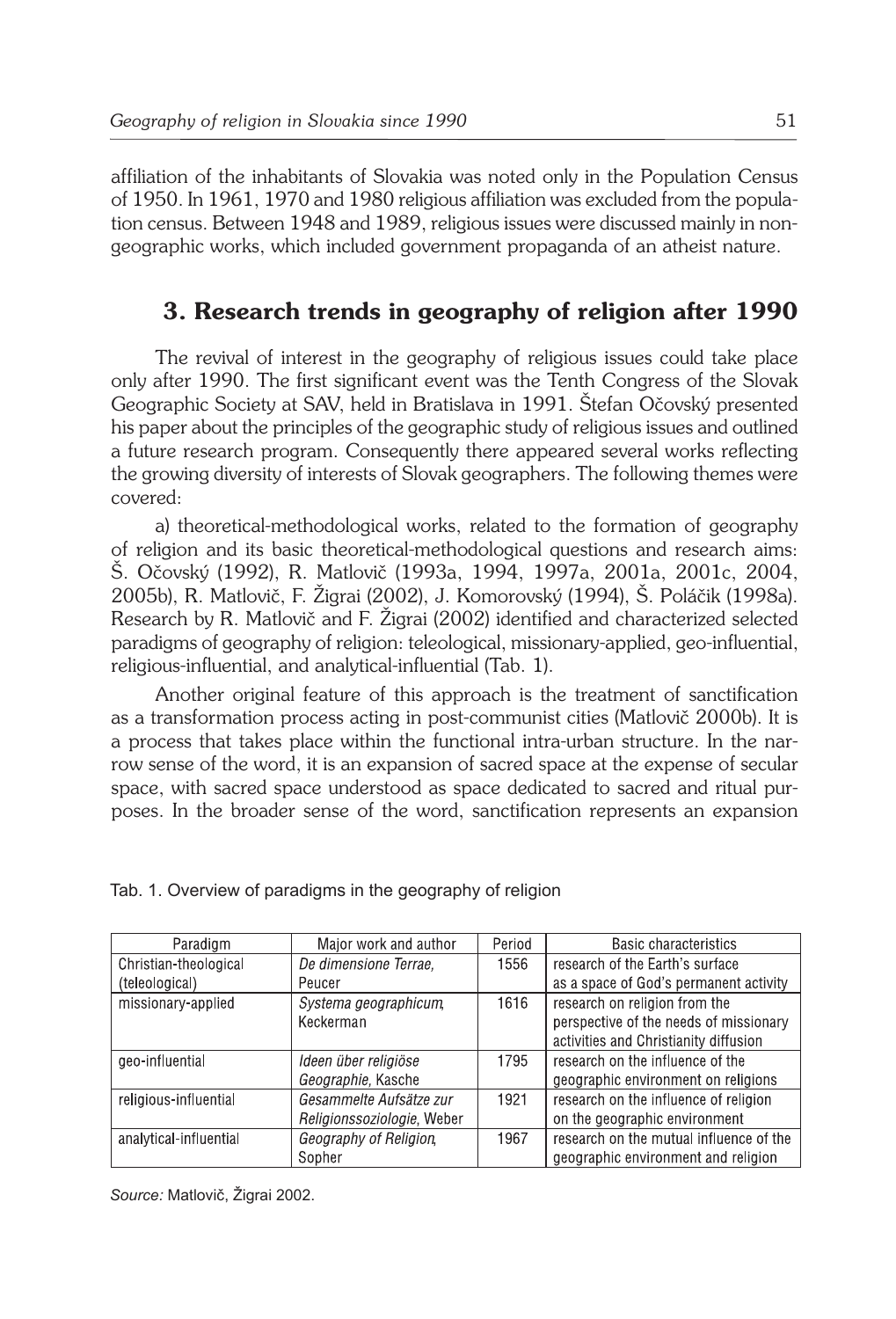affiliation of the inhabitants of Slovakia was noted only in the Population Census of 1950. In 1961, 1970 and 1980 religious affiliation was excluded from the population census. Between 1948 and 1989, religious issues were discussed mainly in nongeographic works, which included government propaganda of an atheist nature.

# **3. Research trends in geography of religion after 1990**

The revival of interest in the geography of religious issues could take place only after 1990. The first significant event was the Tenth Congress of the Slovak Geographic Society at SAV, held in Bratislava in 1991. Štefan Očovský presented his paper about the principles of the geographic study of religious issues and outlined a future research program. Consequently there appeared several works reflecting the growing diversity of interests of Slovak geographers. The following themes were covered:

a) theoretical-methodological works, related to the formation of geography of religion and its basic theoretical-methodological questions and research aims: Š. Očovský (1992), R. Matlovič (1993a, 1994, 1997a, 2001a, 2001c, 2004, 2005b), R. Matlovič, F. Žigrai (2002), J. Komorovský (1994), Š. Poláčik (1998a). Research by R. Matlovič and F. Žigrai (2002) identified and characterized selected paradigms of geography of religion: teleological, missionary-applied, geo-influential, religious-influential, and analytical-influential (Tab. 1).

Another original feature of this approach is the treatment of sanctification as a transformation process acting in post-communist cities (Matlovič 2000b). It is a process that takes place within the functional intra-urban structure. In the narrow sense of the word, it is an expansion of sacred space at the expense of secular space, with sacred space understood as space dedicated to sacred and ritual purposes. In the broader sense of the word, sanctification represents an expansion

| Paradigm               | Major work and author      | Period | Basic characteristics                   |
|------------------------|----------------------------|--------|-----------------------------------------|
| Christian-theological  | De dimensione Terrae.      | 1556   | research of the Earth's surface         |
| (teleological)         | Peucer                     |        | as a space of God's permanent activity  |
| missionary-applied     | Systema geographicum,      | 1616   | research on religion from the           |
|                        | Keckerman                  |        | perspective of the needs of missionary  |
|                        |                            |        | activities and Christianity diffusion   |
| geo-influential        | Ideen über religiöse       | 1795   | research on the influence of the        |
|                        | Geographie, Kasche         |        | geographic environment on religions     |
| religious-influential  | Gesammelte Aufsätze zur    | 1921   | research on the influence of religion   |
|                        | Religionssoziologie, Weber |        | on the geographic environment           |
| analytical-influential | Geography of Religion,     | 1967   | research on the mutual influence of the |
|                        | Sopher                     |        | geographic environment and religion     |

Tab. 1. Overview of paradigms in the geography of religion

*Source:* Matlovič, Žigrai 2002.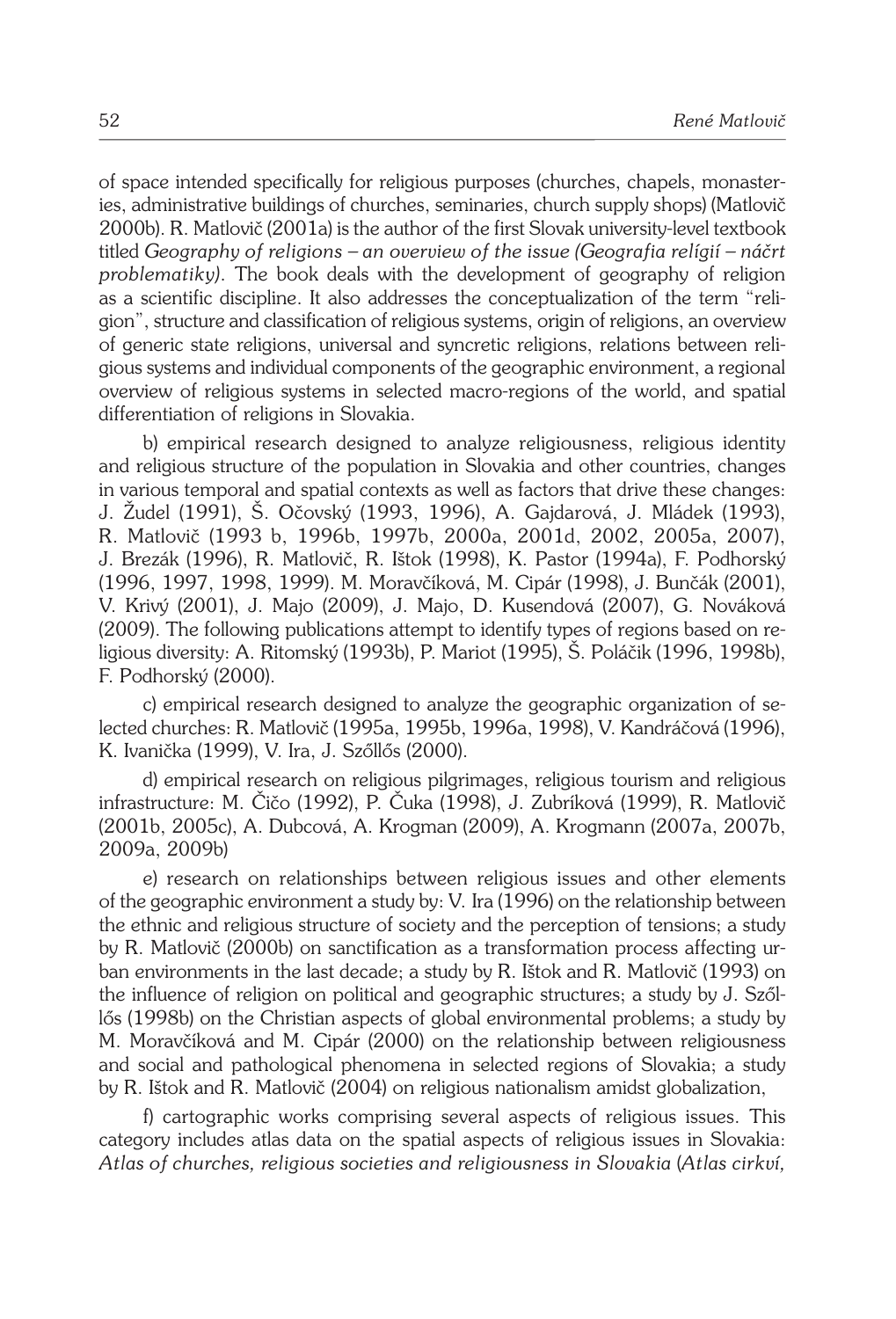of space intended specifically for religious purposes (churches, chapels, monasteries, administrative buildings of churches, seminaries, church supply shops) (Matlovič 2000b). R. Matlovič (2001a) is the author of the first Slovak university-level textbook titled *Geography of religions – an overview of the issue (Geografia relígií – náčrt problematiky)*. The book deals with the development of geography of religion as a scientific discipline. It also addresses the conceptualization of the term "religion", structure and classification of religious systems, origin of religions, an overview of generic state religions, universal and syncretic religions, relations between religious systems and individual components of the geographic environment, a regional overview of religious systems in selected macro-regions of the world, and spatial differentiation of religions in Slovakia.

b) empirical research designed to analyze religiousness, religious identity and religious structure of the population in Slovakia and other countries, changes in various temporal and spatial contexts as well as factors that drive these changes: J. Žudel (1991), Š. Očovský (1993, 1996), A. Gajdarová, J. Mládek (1993), R. Matlovič (1993 b, 1996b, 1997b, 2000a, 2001d, 2002, 2005a, 2007), J. Brezák (1996), R. Matlovič, R. Ištok (1998), K. Pastor (1994a), F. Podhorský (1996, 1997, 1998, 1999). M. Moravčíková, M. Cipár (1998), J. Bunčák (2001), V. Krivý (2001), J. Majo (2009), J. Majo, D. Kusendová (2007), G. Nováková (2009). The following publications attempt to identify types of regions based on religious diversity: A. Ritomský (1993b), P. Mariot (1995), Š. Poláčik (1996, 1998b), F. Podhorský (2000).

c) empirical research designed to analyze the geographic organization of selected churches: R. Matlovič (1995a, 1995b, 1996a, 1998), V. Kandráčová (1996), K. Ivanička (1999), V. Ira, J. Szőllős (2000).

d) empirical research on religious pilgrimages, religious tourism and religious infrastructure: M. Čičo (1992), P. Čuka (1998), J. Zubríková (1999), R. Matlovič (2001b, 2005c), A. Dubcová, A. Krogman (2009), A. Krogmann (2007a, 2007b, 2009a, 2009b)

e) research on relationships between religious issues and other elements of the geographic environment a study by: V. Ira (1996) on the relationship between the ethnic and religious structure of society and the perception of tensions; a study by R. Matlovič (2000b) on sanctification as a transformation process affecting urban environments in the last decade; a study by R. Ištok and R. Matlovič (1993) on the influence of religion on political and geographic structures; a study by J. Szőllős (1998b) on the Christian aspects of global environmental problems; a study by M. Moravčíková and M. Cipár (2000) on the relationship between religiousness and social and pathological phenomena in selected regions of Slovakia; a study by R. Ištok and R. Matlovič (2004) on religious nationalism amidst globalization,

f) cartographic works comprising several aspects of religious issues. This category includes atlas data on the spatial aspects of religious issues in Slovakia: *Atlas of churches, religious societies and religiousness in Slovakia* (*Atlas cirkví,*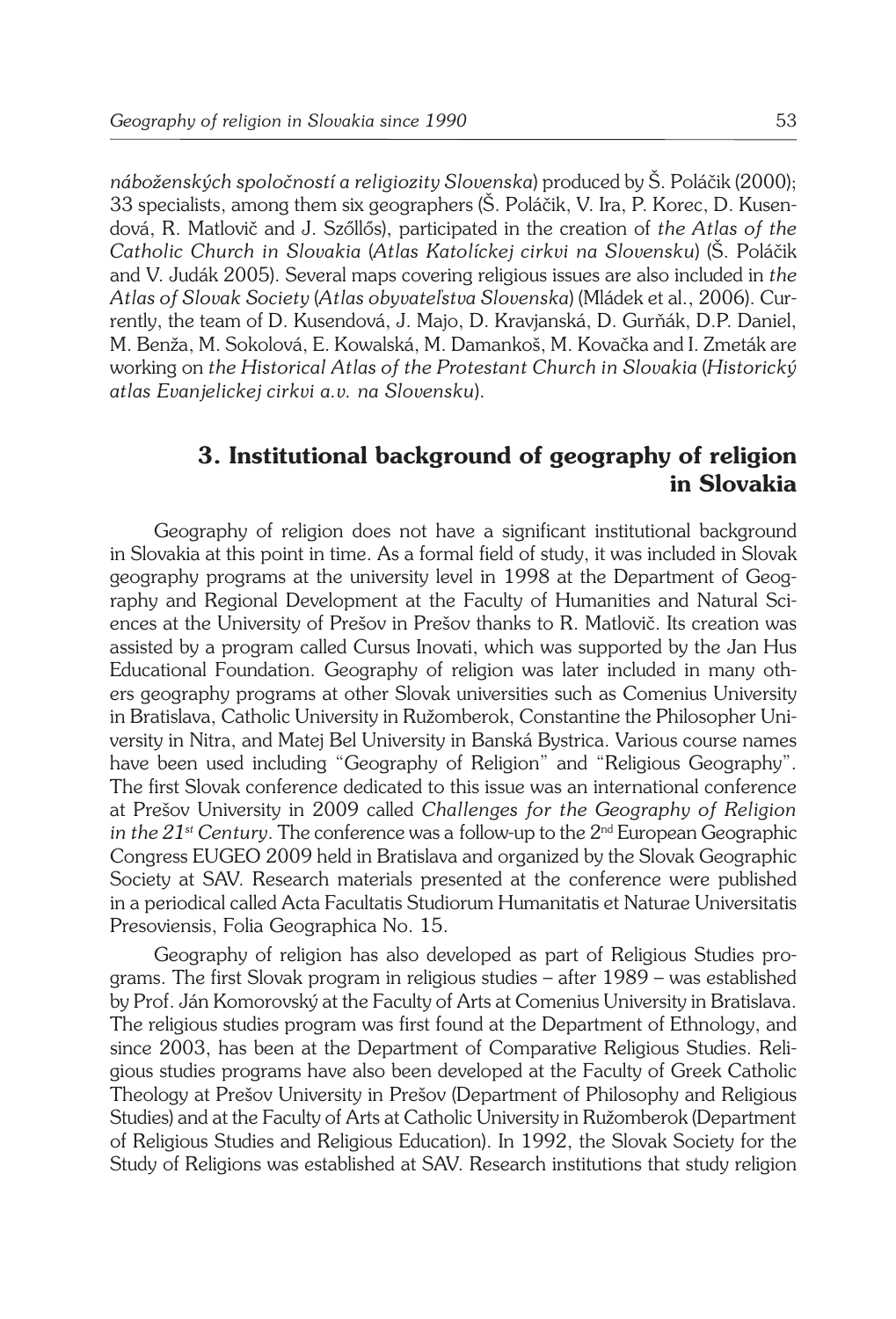*náboženských spoločností a religiozity Slovenska*) produced by Š. Poláčik (2000); 33 specialists, among them six geographers (Š. Poláčik, V. Ira, P. Korec, D. Kusendová, R. Matlovič and J. Szőllős), participated in the creation of *the Atlas of the Catholic Church in Slovakia* (*Atlas Katolíckej cirkvi na Slovensku*) (Š. Poláčik and V. Judák 2005). Several maps covering religious issues are also included in *the Atlas of Slovak Society* (*Atlas obyvateľstva Slovenska*) (Mládek et al., 2006). Currently, the team of D. Kusendová, J. Majo, D. Kravjanská, D. Gurňák, D.P. Daniel, M. Benža, M. Sokolová, E. Kowalská, M. Damankoš, M. Kovačka and I. Zmeták are working on *the Historical Atlas of the Protestant Church in Slovakia* (*Historický atlas Evanjelickej cirkvi a.v. na Slovensku*).

# **3. Institutional background of geography of religion in Slovakia**

Geography of religion does not have a significant institutional background in Slovakia at this point in time. As a formal field of study, it was included in Slovak geography programs at the university level in 1998 at the Department of Geography and Regional Development at the Faculty of Humanities and Natural Sciences at the University of Prešov in Prešov thanks to R. Matlovič. Its creation was assisted by a program called Cursus Inovati, which was supported by the Jan Hus Educational Foundation. Geography of religion was later included in many others geography programs at other Slovak universities such as Comenius University in Bratislava, Catholic University in Ružomberok, Constantine the Philosopher University in Nitra, and Matej Bel University in Banská Bystrica. Various course names have been used including "Geography of Religion" and "Religious Geography". The first Slovak conference dedicated to this issue was an international conference at Prešov University in 2009 called *Challenges for the Geography of Religion in the 21st Century*. The conference was a follow-up to the 2nd European Geographic Congress EUGEO 2009 held in Bratislava and organized by the Slovak Geographic Society at SAV. Research materials presented at the conference were published in a periodical called Acta Facultatis Studiorum Humanitatis et Naturae Universitatis Presoviensis, Folia Geographica No. 15.

Geography of religion has also developed as part of Religious Studies programs. The first Slovak program in religious studies – after 1989 – was established by Prof. Ján Komorovský at the Faculty of Arts at Comenius University in Bratislava. The religious studies program was first found at the Department of Ethnology, and since 2003, has been at the Department of Comparative Religious Studies. Religious studies programs have also been developed at the Faculty of Greek Catholic Theology at Prešov University in Prešov (Department of Philosophy and Religious Studies) and at the Faculty of Arts at Catholic University in Ružomberok (Department of Religious Studies and Religious Education). In 1992, the Slovak Society for the Study of Religions was established at SAV. Research institutions that study religion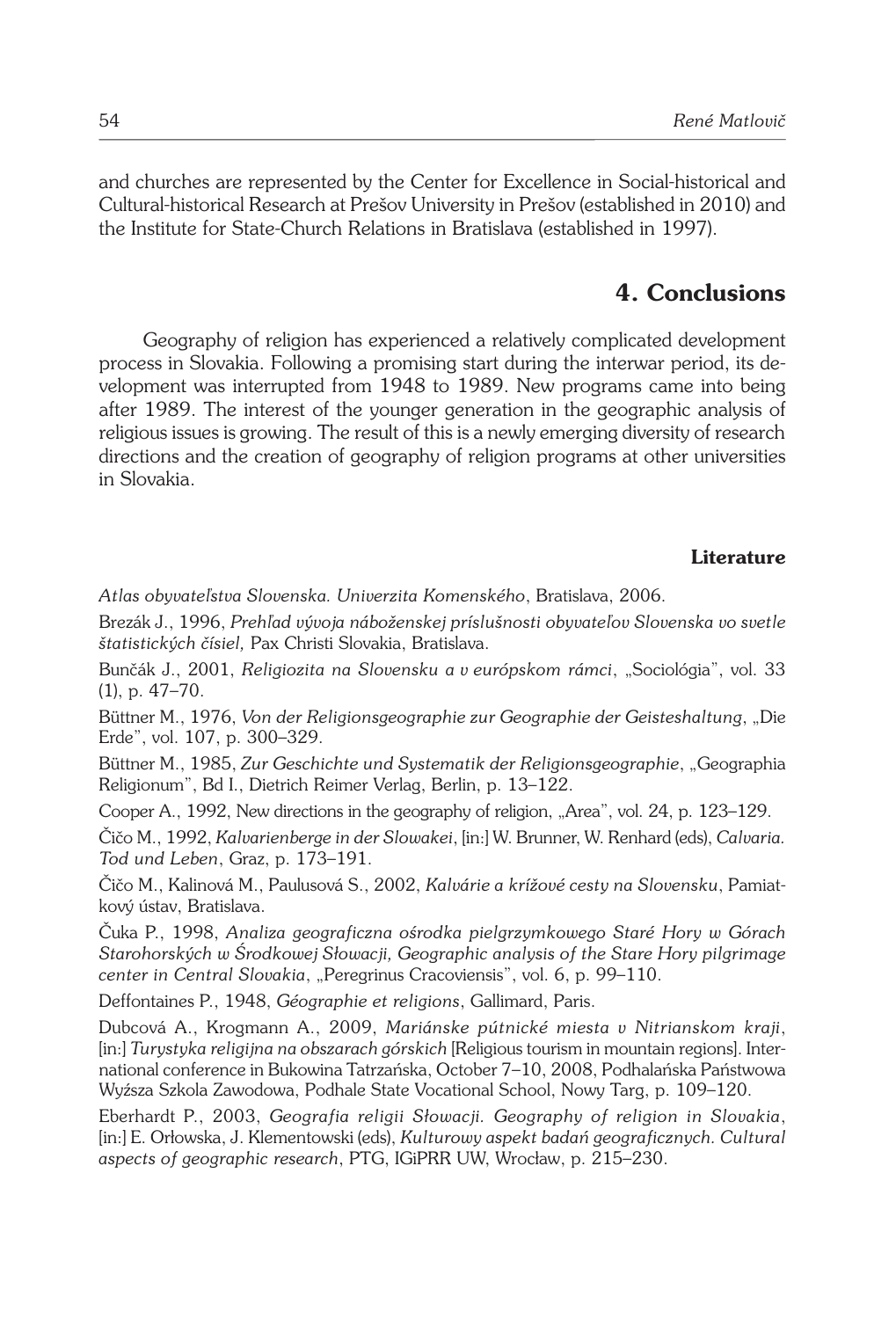and churches are represented by the Center for Excellence in Social-historical and Cultural-historical Research at Prešov University in Prešov (established in 2010) and the Institute for State-Church Relations in Bratislava (established in 1997).

## **4. Conclusions**

Geography of religion has experienced a relatively complicated development process in Slovakia. Following a promising start during the interwar period, its development was interrupted from 1948 to 1989. New programs came into being after 1989. The interest of the younger generation in the geographic analysis of religious issues is growing. The result of this is a newly emerging diversity of research directions and the creation of geography of religion programs at other universities in Slovakia.

#### **Literature**

*Atlas obyvateľstva Slovenska. Univerzita Komenského*, Bratislava, 2006.

Brezák J., 1996, *Prehľad vývoja náboženskej príslušnosti obyvateľov Slovenska vo svetle štatistických čísiel,* Pax Christi Slovakia, Bratislava.

Bunčák J., 2001, *Religiozita na Slovensku a v európskom rámci*, "Sociológia", vol. 33 (1), p. 47–70.

Büttner M., 1976, *Von der Religionsgeographie zur Geographie der Geisteshaltung*, "Die Erde", vol. 107, p. 300–329.

Büttner M., 1985, *Zur Geschichte und Systematik der Religionsgeographie*, "Geographia Religionum", Bd I., Dietrich Reimer Verlag, Berlin, p. 13–122.

Cooper A., 1992, New directions in the geography of religion, "Area", vol. 24, p. 123–129.

Čičo M., 1992, *Kalvarienberge in der Slowakei*, [in:] W. Brunner, W. Renhard (eds), *Calvaria. Tod und Leben*, Graz, p. 173–191.

Čičo M., Kalinová M., Paulusová S., 2002, *Kalvárie a krížové cesty na Slovensku*, Pamiatkový ústav, Bratislava.

Čuka P., 1998, *Analiza geograficzna ośrodka pielgrzymkowego Staré Hory w Górach Starohorských w Środkowej Słowacji, Geographic analysis of the Stare Hory pilgrimage center in Central Slovakia*, "Peregrinus Cracoviensis", vol. 6, p. 99–110.

Deffontaines P., 1948, *Géographie et religions*, Gallimard, Paris.

Dubcová A., Krogmann A., 2009, *Mariánske pútnické miesta v Nitrianskom kraji*, [in:] *Turystyka religijna na obszarach górskich* [Religious tourism in mountain regions]. International conference in Bukowina Tatrzańska, October 7–10, 2008, Podhalańska Państwowa Wyźsza Szkola Zawodowa, Podhale State Vocational School, Nowy Targ, p. 109–120.

Eberhardt P., 2003, *Geografia religii Słowacji. Geography of religion in Slovakia*, [in:] E. Orłowska, J. Klementowski (eds), *Kulturowy aspekt badań geograficznych. Cultural aspects of geographic research*, PTG, IGiPRR UW, Wrocław, p. 215–230.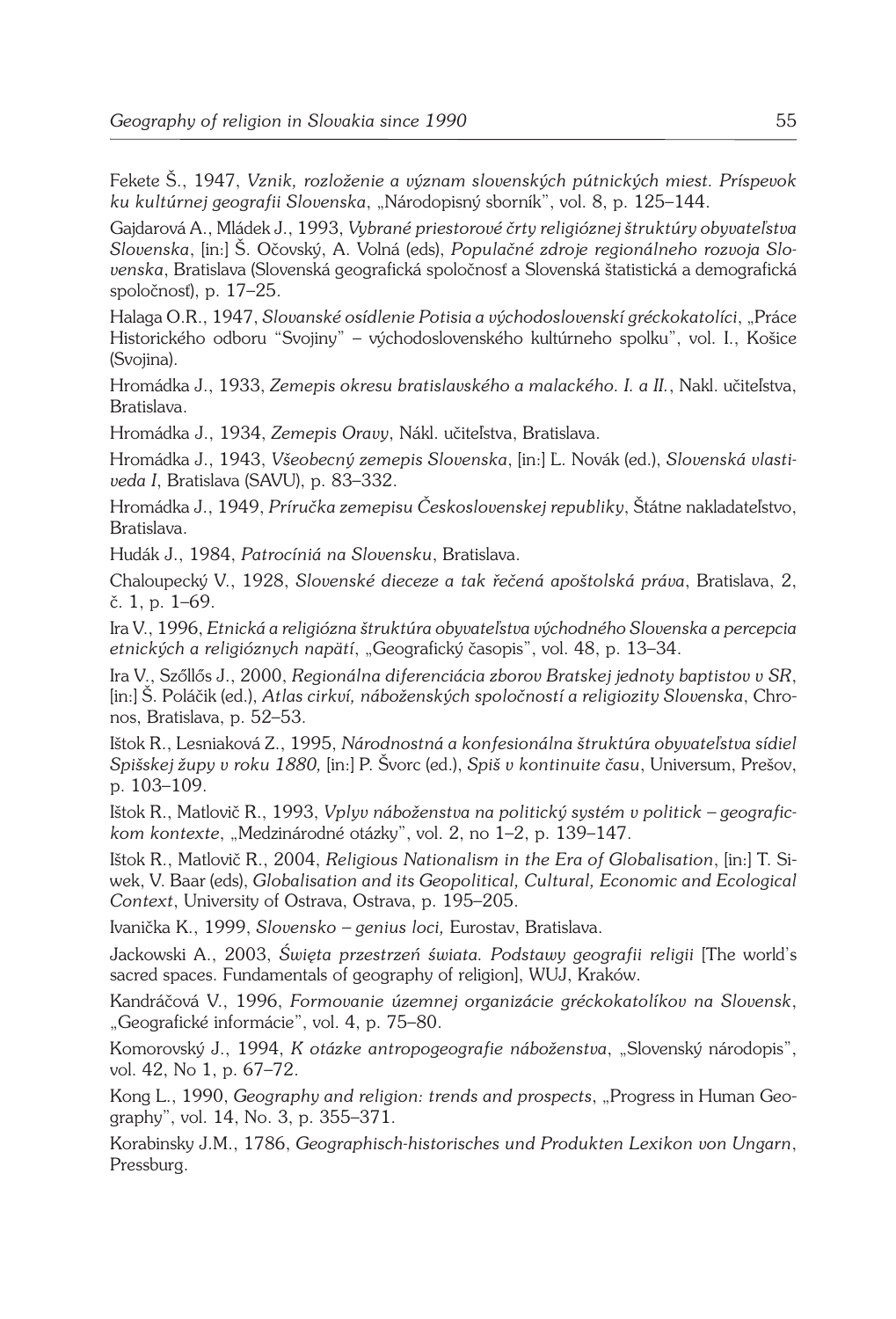Fekete Š., 1947, *Vznik, rozloženie a význam slovenských pútnických miest. Príspevok ku kultúrnej geografii Slovenska*, "Národopisný sborník", vol. 8, p. 125–144.

Gajdarová A., Mládek J., 1993, *Vybrané priestorové črty religióznej štruktúry obyvateľstva Slovenska*, [in:] Š. Očovský, A. Volná (eds), *Populačné zdroje regionálneho rozvoja Slovenska*, Bratislava (Slovenská geografická spoločnosť a Slovenská štatistická a demografická spoločnosť), p. 17–25.

Halaga O.R., 1947, *Slovanské osídlenie Potisia a východoslovenskí gréckokatolíci*, "Práce Historického odboru "Svojiny" – východoslovenského kultúrneho spolku", vol. I., Košice (Svojina).

Hromádka J., 1933, *Zemepis okresu bratislavského a malackého. I. a II.*, Nakl. učiteľstva, Bratislava.

Hromádka J., 1934, *Zemepis Oravy*, Nákl. učiteľstva, Bratislava.

Hromádka J., 1943, *Všeobecný zemepis Slovenska*, [in:] Ľ. Novák (ed.), *Slovenská vlastiveda I*, Bratislava (SAVU), p. 83–332.

Hromádka J., 1949, *Príručka zemepisu Československej republiky*, Štátne nakladateľstvo, Bratislava.

Hudák J., 1984, *Patrocíniá na Slovensku*, Bratislava.

Chaloupecký V., 1928, *Slovenské dieceze a tak řečená apoštolská práva*, Bratislava, 2, č. 1, p. 1–69.

Ira V., 1996, *Etnická a religiózna štruktúra obyvateľstva východného Slovenska a percepcia etnických a religióznych napätí*, "Geografický časopis", vol. 48, p. 13–34.

Ira V., Szőllős J., 2000, *Regionálna diferenciácia zborov Bratskej jednoty baptistov v SR*, [in:] Š. Poláčik (ed.), *Atlas cirkví, náboženských spoločností a religiozity Slovenska*, Chronos, Bratislava, p. 52–53.

Ištok R., Lesniaková Z., 1995, *Národnostná a konfesionálna štruktúra obyvateľstva sídiel Spišskej župy v roku 1880,* [in:] P. Švorc (ed.), *Spiš v kontinuite času*, Universum, Prešov, p. 103–109.

Ištok R., Matlovič R., 1993, *Vplyv náboženstva na politický systém v politick – geografickom kontexte*, "Medzinárodné otázky", vol. 2, no 1–2, p. 139–147.

Ištok R., Matlovič R., 2004, *Religious Nationalism in the Era of Globalisation*, [in:] T. Siwek, V. Baar (eds), *Globalisation and its Geopolitical, Cultural, Economic and Ecological Context*, University of Ostrava, Ostrava, p. 195–205.

Ivanička K., 1999, *Slovensko – genius loci,* Eurostav, Bratislava.

Jackowski A., 2003, *Święta przestrzeń świata. Podstawy geografii religii* [The world's sacred spaces. Fundamentals of geography of religion], WUJ, Kraków.

Kandráčová V., 1996, *Formovanie územnej organizácie gréckokatolíkov na Slovensk*, "Geografické informácie", vol. 4, p. 75–80.

Komorovský J., 1994, *K otázke antropogeografie náboženstva*, "Slovenský národopis", vol. 42, No 1, p. 67–72.

Kong L., 1990, *Geography and religion: trends and prospects*, "Progress in Human Geography", vol. 14, No. 3, p. 355–371.

Korabinsky J.M., 1786, *Geographisch-historisches und Produkten Lexikon von Ungarn*, Pressburg.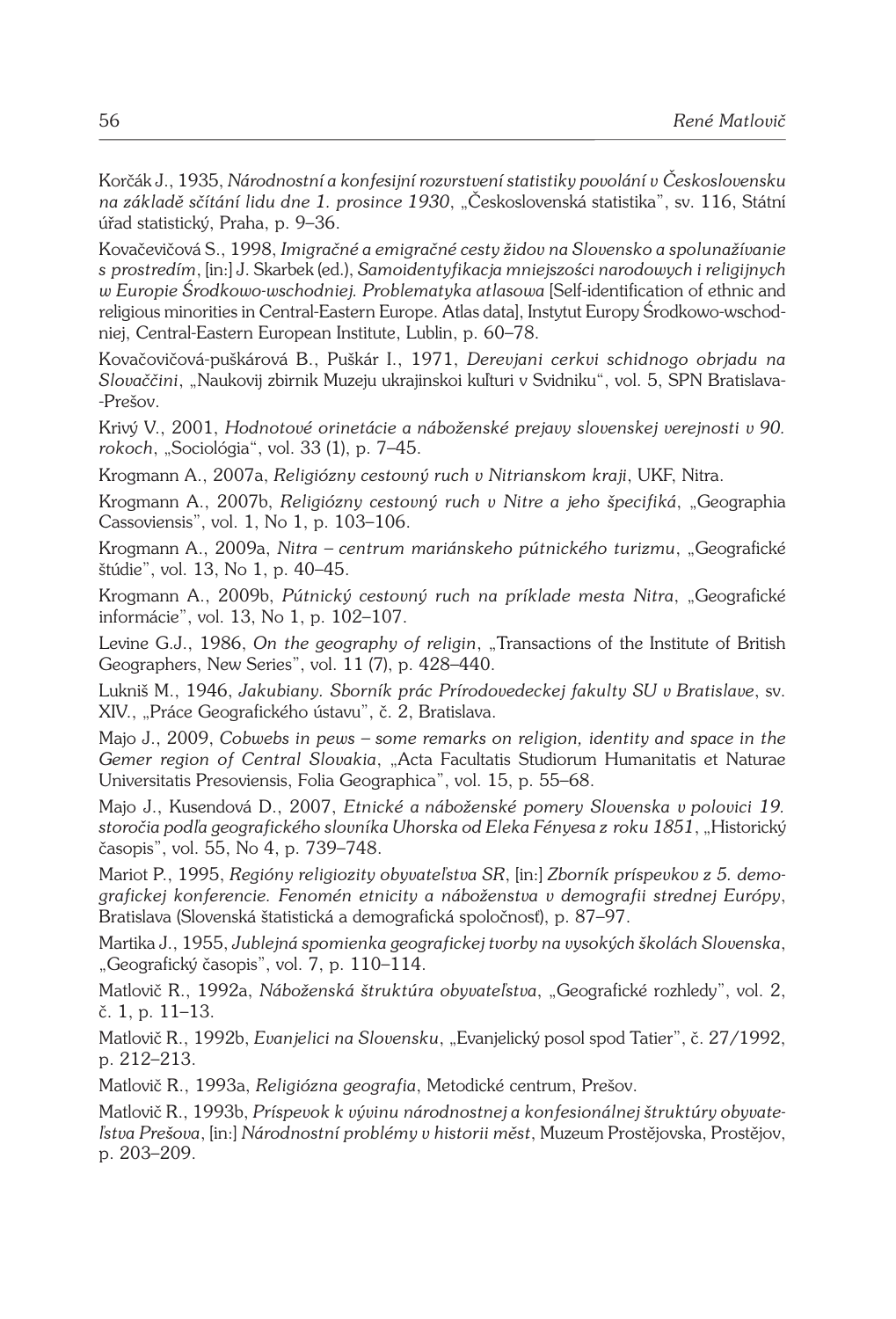Korčák J., 1935, *Národnostní a konfesijní rozvrstvení statistiky povolání v Československu na základě sčítání lidu dne 1. prosince 1930*, "Československá statistika", sv. 116, Státní úřad statistický, Praha, p. 9–36.

Kovačevičová S., 1998, *Imigračné a emigračné cesty židov na Slovensko a spolunažívanie s prostredím*, [in:] J. Skarbek (ed.), *Samoidentyfikacja mniejszości narodowych i religijnych w Europie Środkowo-wschodniej. Problematyka atlasowa* [Self-identification of ethnic and religious minorities in Central-Eastern Europe. Atlas data], Instytut Europy Środkowo-wschodniej, Central-Eastern European Institute, Lublin, p. 60–78.

Kovačovičová-puškárová B., Puškár I., 1971, *Derevjani cerkvi schidnogo obrjadu na Slovaččini*, "Naukovij zbirnik Muzeju ukrajinskoi kuľturi v Svidniku", vol. 5, SPN Bratislava- -Prešov.

Krivý V., 2001, *Hodnotové orinetácie a náboženské prejavy slovenskej verejnosti v 90. rokoch*, "Sociológia", vol. 33 (1), p. 7–45.

Krogmann A., 2007a, *Religiózny cestovný ruch v Nitrianskom kraji*, UKF, Nitra.

Krogmann A., 2007b, *Religiózny cestovný ruch v Nitre a jeho špecifiká*, "Geographia Cassoviensis", vol. 1, No 1, p. 103–106.

Krogmann A., 2009a, *Nitra – centrum mariánskeho pútnického turizmu*, "Geografické štúdie", vol. 13, No 1, p. 40–45.

Krogmann A., 2009b, Pútnický cestovný ruch na príklade mesta Nitra, "Geografické informácie", vol. 13, No 1, p. 102–107.

Levine G.J., 1986, *On the geography of religin*, "Transactions of the Institute of British Geographers, New Series", vol. 11 (7), p. 428–440.

Lukniš M., 1946, *Jakubiany. Sborník prác Prírodovedeckej fakulty SU v Bratislave*, sv. XIV., "Práce Geografického ústavu", č. 2, Bratislava.

Majo J., 2009, *Cobwebs in pews – some remarks on religion, identity and space in the Gemer region of Central Slovakia*, "Acta Facultatis Studiorum Humanitatis et Naturae Universitatis Presoviensis, Folia Geographica", vol. 15, p. 55–68.

Majo J., Kusendová D., 2007, *Etnické a náboženské pomery Slovenska v polovici 19. storočia podľa geografického slovníka Uhorska od Eleka Fényesa z roku 1851*, "Historický časopis", vol. 55, No 4, p. 739–748.

Mariot P., 1995, *Regióny religiozity obyvateľstva SR*, [in:] *Zborník príspevkov z 5. demografickej konferencie. Fenomén etnicity a náboženstva v demografii strednej Európy*, Bratislava (Slovenská štatistická a demografická spoločnosť), p. 87–97.

Martika J., 1955, *Jublejná spomienka geografickej tvorby na vysokých školách Slovenska*, "Geografický časopis", vol. 7, p. 110–114.

Matlovič R., 1992a, *Náboženská štruktúra obyvateľstva*, "Geografické rozhledy", vol. 2, č. 1, p. 11–13.

Matlovič R., 1992b, *Evanjelici na Slovensku*, "Evanjelický posol spod Tatier", č. 27/1992, p. 212–213.

Matlovič R., 1993a, *Religiózna geografia*, Metodické centrum, Prešov.

Matlovič R., 1993b, *Príspevok k vývinu národnostnej a konfesionálnej štruktúry obyvateľstva Prešova*, [in:] *Národnostní problémy v historii měst*, Muzeum Prostějovska, Prostějov, p. 203–209.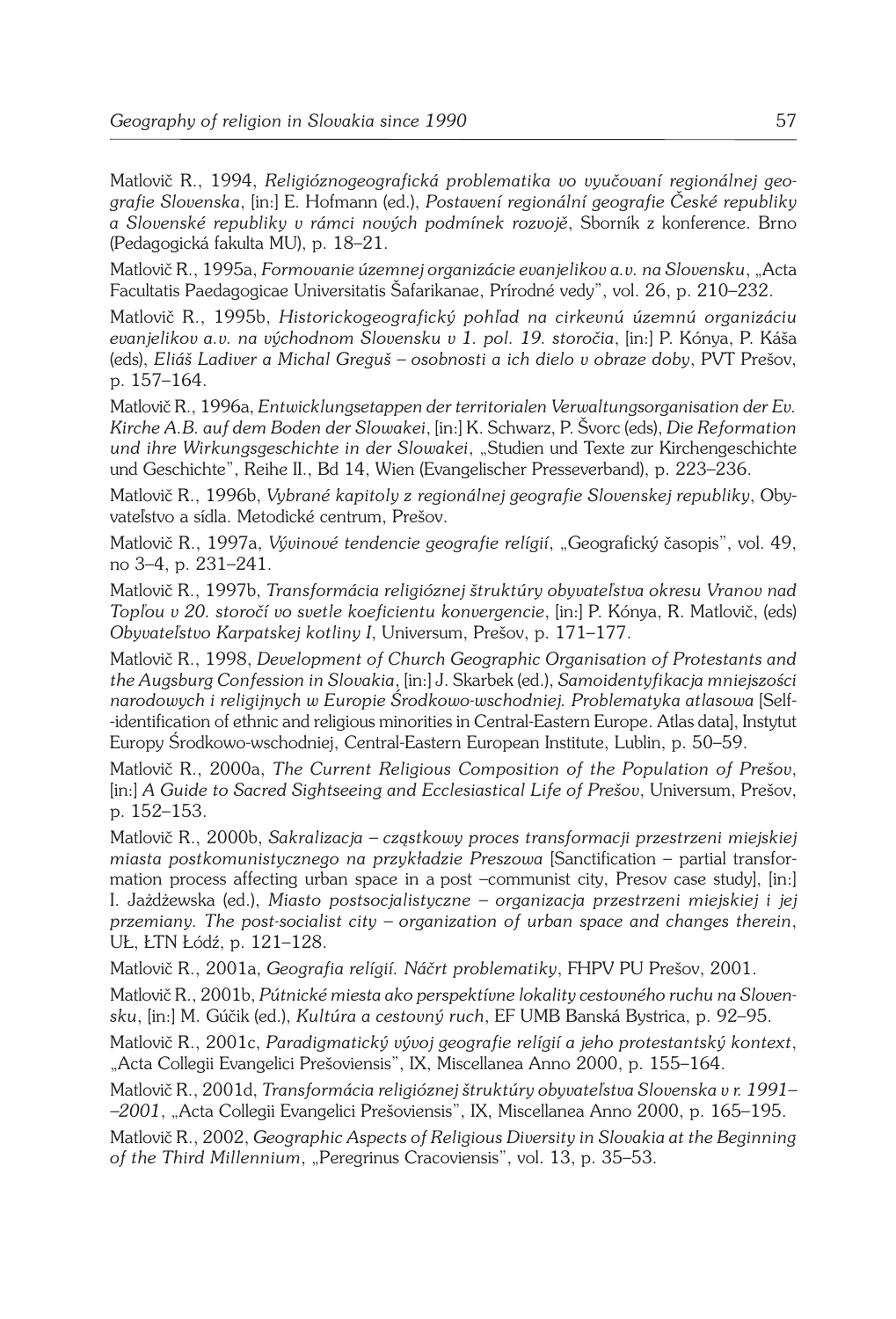Matlovič R., 1994, *Religióznogeografická problematika vo vyučovaní regionálnej geografie Slovenska*, [in:] E. Hofmann (ed.), *Postavení regionální geografie České republiky a Slovenské republiky v rámci nových podmínek rozvojě*, Sborník z konference. Brno (Pedagogická fakulta MU), p. 18–21.

Matlovič R., 1995a, *Formovanie územnej organizácie evanjelikov a.v. na Slovensku*, "Acta Facultatis Paedagogicae Universitatis Šafarikanae, Prírodné vedy", vol. 26, p. 210–232.

Matlovič R., 1995b, *Historickogeografický pohľad na cirkevnú územnú organizáciu evanjelikov a.v. na východnom Slovensku v 1. pol. 19. storočia*, [in:] P. Kónya, P. Káša (eds), *Eliáš Ladiver a Michal Greguš – osobnosti a ich dielo v obraze doby*, PVT Prešov, p. 157–164.

Matlovič R., 1996a, *Entwicklungsetappen der territorialen Verwaltungsorganisation der Ev. Kirche A.B. auf dem Boden der Slowakei*, [in:] K. Schwarz, P. Švorc (eds), *Die Reformation und ihre Wirkungsgeschichte in der Slowakei*, "Studien und Texte zur Kirchengeschichte und Geschichte", Reihe II., Bd 14, Wien (Evangelischer Presseverband), p. 223–236.

Matlovič R., 1996b, *Vybrané kapitoly z regionálnej geografie Slovenskej republiky*, Obyvateľstvo a sídla. Metodické centrum, Prešov.

Matlovič R., 1997a, *Vývinové tendencie geografie relígií*, "Geografický časopis", vol. 49, no 3–4, p. 231–241.

Matlovič R., 1997b, *Transformácia religióznej štruktúry obyvateľstva okresu Vranov nad Topľou v 20. storočí vo svetle koeficientu konvergencie*, [in:] P. Kónya, R. Matlovič, (eds) *Obyvateľstvo Karpatskej kotliny I*, Universum, Prešov, p. 171–177.

Matlovič R., 1998, *Development of Church Geographic Organisation of Protestants and the Augsburg Confession in Slovakia*, [in:] J. Skarbek (ed.), *Samoidentyfikacja mniejszości narodowych i religijnych w Europie Środkowo-wschodniej. Problematyka atlasowa* [Self- -identification of ethnic and religious minorities in Central-Eastern Europe. Atlas data], Instytut Europy Środkowo-wschodniej, Central-Eastern European Institute, Lublin, p. 50–59.

Matlovič R., 2000a, *The Current Religious Composition of the Population of Prešov*, [in:] *A Guide to Sacred Sightseeing and Ecclesiastical Life of Prešov*, Universum, Prešov, p. 152–153.

Matlovič R., 2000b, *Sakralizacja – cząstkowy proces transformacji przestrzeni miejskiej miasta postkomunistycznego na przykładzie Preszowa* [Sanctification – partial transformation process affecting urban space in a post –communist city, Presov case study], [in:] I. Jażdżewska (ed.), *Miasto postsocjalistyczne – organizacja przestrzeni miejskiej i jej przemiany. The post-socialist city – organization of urban space and changes therein*, UŁ, ŁTN Łódź, p. 121–128.

Matlovič R., 2001a, *Geografia relígií. Náčrt problematiky*, FHPV PU Prešov, 2001.

Matlovič R., 2001b, *Pútnické miesta ako perspektívne lokality cestovného ruchu na Slovensku*, [in:] M. Gúčik (ed.), *Kultúra a cestovný ruch*, EF UMB Banská Bystrica, p. 92–95.

Matlovič R., 2001c, *Paradigmatický vývoj geografie relígií a jeho protestantský kontext*, "Acta Collegii Evangelici Prešoviensis", IX, Miscellanea Anno 2000, p. 155–164.

Matlovič R., 2001d, *Transformácia religióznej štruktúry obyvateľstva Slovenska v r. 1991– –2001*, "Acta Collegii Evangelici Prešoviensis", IX, Miscellanea Anno 2000, p. 165–195.

Matlovič R., 2002, *Geographic Aspects of Religious Diversity in Slovakia at the Beginning of the Third Millennium*, "Peregrinus Cracoviensis", vol. 13, p. 35–53.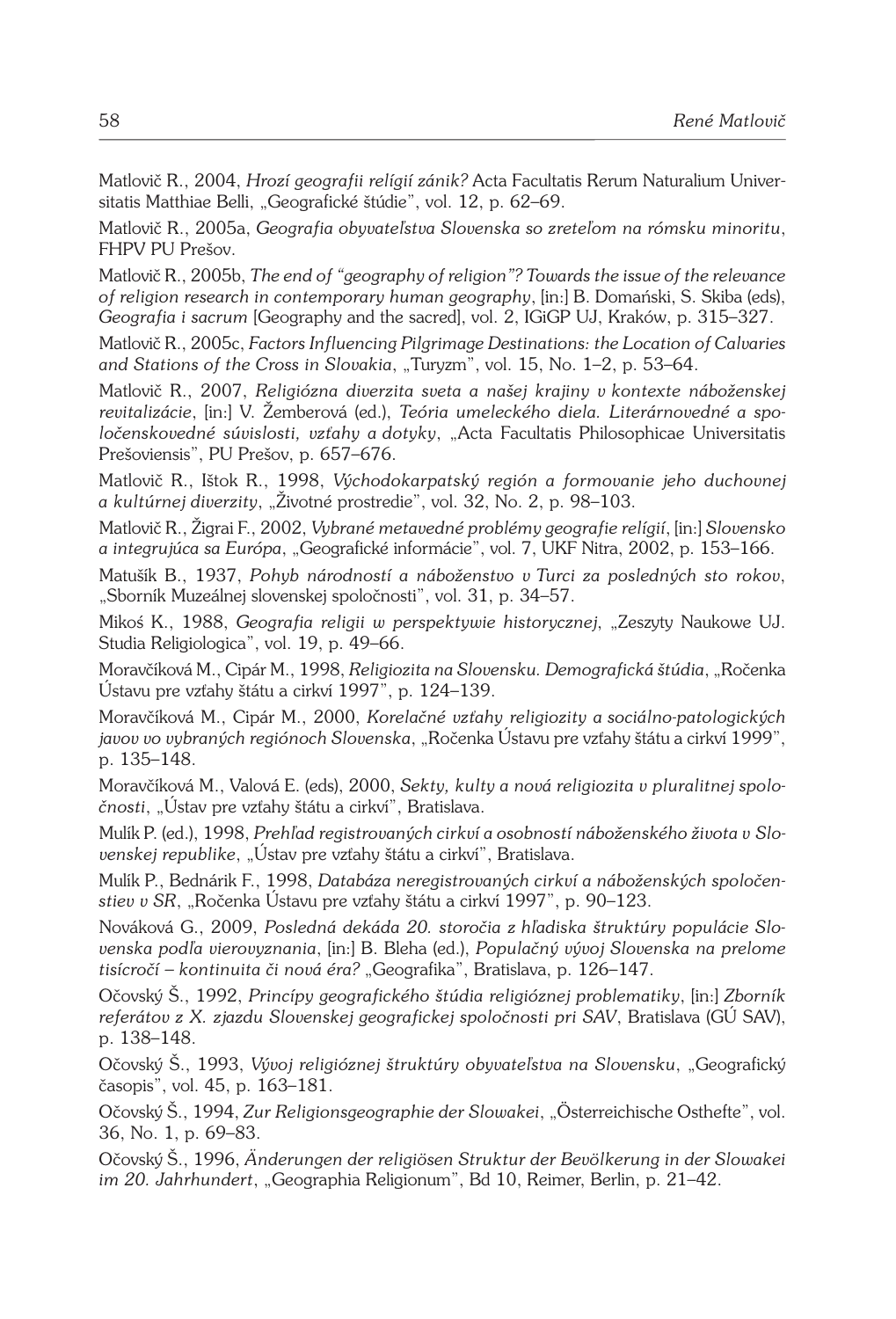Matlovič R., 2004, *Hrozí geografii relígií zánik?* Acta Facultatis Rerum Naturalium Universitatis Matthiae Belli, "Geografické štúdie", vol. 12, p. 62-69.

Matlovič R., 2005a, *Geografia obyvateľstva Slovenska so zreteľom na rómsku minoritu*, FHPV PU Prešov.

Matlovič R., 2005b, *The end of "geography of religion"? Towards the issue of the relevance of religion research in contemporary human geography*, [in:] B. Domański, S. Skiba (eds), *Geografia i sacrum* [Geography and the sacred], vol. 2, IGiGP UJ, Kraków, p. 315–327.

Matlovič R., 2005c, *Factors Influencing Pilgrimage Destinations: the Location of Calvaries*  and Stations of the Cross in Slovakia, "Turyzm", vol. 15, No. 1-2, p. 53-64.

Matlovič R., 2007, *Religiózna diverzita sveta a našej krajiny v kontexte náboženskej revitalizácie*, [in:] V. Žemberová (ed.), *Teória umeleckého diela. Literárnovedné a spoločenskovedné súvislosti, vzťahy a dotyky*, "Acta Facultatis Philosophicae Universitatis Prešoviensis", PU Prešov, p. 657–676.

Matlovič R., Ištok R., 1998, *Východokarpatský región a formovanie jeho duchovnej a kultúrnej diverzity*, "Životné prostredie", vol. 32, No. 2, p. 98–103.

Matlovič R., Žigrai F., 2002, *Vybrané metavedné problémy geografie relígií*, [in:] *Slovensko a integrujúca sa Európa*, "Geografické informácie", vol. 7, UKF Nitra, 2002, p. 153–166.

Matušík B., 1937, *Pohyb národností a náboženstvo v Turci za posledných sto rokov*, "Sborník Muzeálnej slovenskej spoločnosti", vol. 31, p. 34–57.

Mikoś K., 1988, *Geografia religii w perspektywie historycznej*, "Zeszyty Naukowe UJ. Studia Religiologica", vol. 19, p. 49–66.

Moravčíková M., Cipár M., 1998, *Religiozita na Slovensku. Demografická štúdia*, "Ročenka Ústavu pre vzťahy štátu a cirkví 1997", p. 124–139.

Moravčíková M., Cipár M., 2000, *Korelačné vzťahy religiozity a sociálno-patologických javov vo vybraných regiónoch Slovenska*, "Ročenka Ústavu pre vzťahy štátu a cirkví 1999", p. 135–148.

Moravčíková M., Valová E. (eds), 2000, *Sekty, kulty a nová religiozita v pluralitnej spoločnosti*, "Ústav pre vzťahy štátu a cirkví", Bratislava.

Mulík P. (ed.), 1998, *Prehľad registrovaných cirkví a osobností náboženského života v Slo*venskej republike, "Ústav pre vzťahy štátu a cirkví", Bratislava.

Mulík P., Bednárik F., 1998, *Databáza neregistrovaných cirkví a náboženských spoločenstiev v SR*, "Ročenka Ústavu pre vzťahy štátu a cirkví 1997", p. 90–123.

Nováková G., 2009, *Posledná dekáda 20. storočia z hľadiska štruktúry populácie Slovenska podľa vierovyznania*, [in:] B. Bleha (ed.), *Populačný vývoj Slovenska na prelome tisícročí – kontinuita či nová éra?* "Geografika", Bratislava, p. 126–147.

Očovský Š., 1992, *Princípy geografického štúdia religióznej problematiky*, [in:] *Zborník referátov z X. zjazdu Slovenskej geografickej spoločnosti pri SAV*, Bratislava (GÚ SAV), p. 138–148.

Očovský Š., 1993, *Vývoj religióznej štruktúry obyvateľstva na Slovensku*, "Geografický časopis", vol. 45, p. 163–181.

Očovský Š., 1994, *Zur Religionsgeographie der Slowakei*, "Österreichische Osthefte", vol. 36, No. 1, p. 69–83.

Očovský Š., 1996, *Änderungen der religiösen Struktur der Bevölkerung in der Slowakei im 20. Jahrhundert*, "Geographia Religionum", Bd 10, Reimer, Berlin, p. 21–42.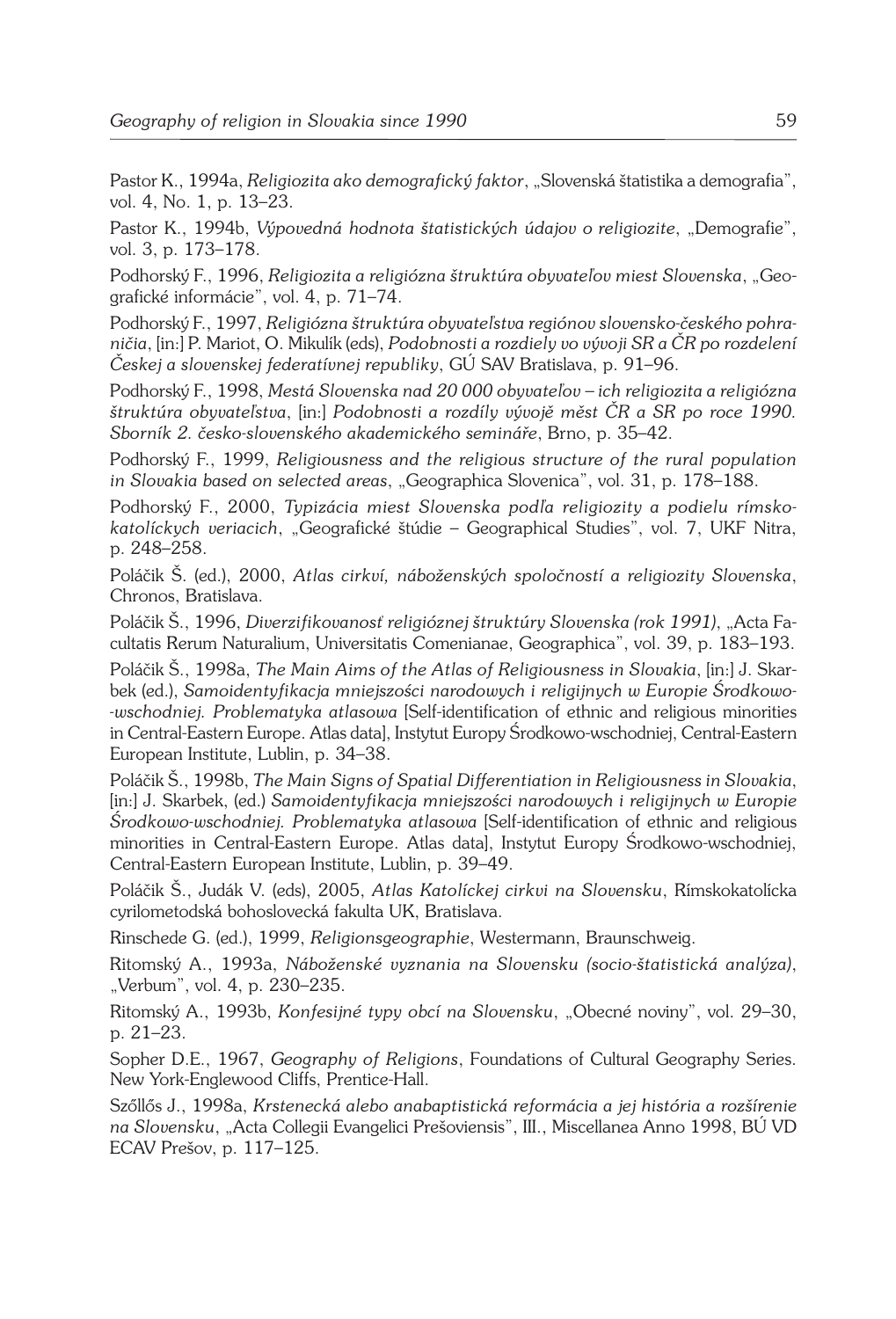Pastor K., 1994a, *Religiozita ako demografický faktor*, "Slovenská štatistika a demografia", vol. 4, No. 1, p. 13–23.

Pastor K., 1994b, *Výpovedná hodnota štatistických údajov o religiozite*, "Demografie", vol. 3, p. 173–178.

Podhorský F., 1996, *Religiozita a religiózna štruktúra obyvateľov miest Slovenska*, "Geografické informácie", vol. 4, p. 71–74.

Podhorský F., 1997, *Religiózna štruktúra obyvateľstva regiónov slovensko-českého pohraničia*, [in:] P. Mariot, O. Mikulík (eds), *Podobnosti a rozdiely vo vývoji SR a ČR po rozdelení Českej a slovenskej federatívnej republiky*, GÚ SAV Bratislava, p. 91–96.

Podhorský F., 1998, *Mestá Slovenska nad 20 000 obyvateľov – ich religiozita a religiózna štruktúra obyvateľstva*, [in:] *Podobnosti a rozdíly vývojě měst ČR a SR po roce 1990. Sborník 2. česko-slovenského akademického semináře*, Brno, p. 35–42.

Podhorský F., 1999, *Religiousness and the religious structure of the rural population in Slovakia based on selected areas*, "Geographica Slovenica", vol. 31, p. 178–188.

Podhorský F., 2000, *Typizácia miest Slovenska podľa religiozity a podielu rímskokatolíckych veriacich*, "Geografické štúdie – Geographical Studies", vol. 7, UKF Nitra, p. 248–258.

Poláčik Š. (ed.), 2000, *Atlas cirkví, náboženských spoločností a religiozity Slovenska*, Chronos, Bratislava.

Poláčik Š., 1996, *Diverzifikovanosť religióznej štruktúry Slovenska (rok 1991)*, "Acta Facultatis Rerum Naturalium, Universitatis Comenianae, Geographica", vol. 39, p. 183–193.

Poláčik Š., 1998a, *The Main Aims of the Atlas of Religiousness in Slovakia*, [in:] J. Skarbek (ed.), *Samoidentyfikacja mniejszości narodowych i religijnych w Europie Środkowo- -wschodniej. Problematyka atlasowa* [Self-identification of ethnic and religious minorities in Central-Eastern Europe. Atlas data], Instytut Europy Środkowo-wschodniej, Central-Eastern European Institute, Lublin, p. 34–38.

Poláčik Š., 1998b, *The Main Signs of Spatial Differentiation in Religiousness in Slovakia*, [in:] J. Skarbek, (ed.) *Samoidentyfikacja mniejszości narodowych i religijnych w Europie Środkowo-wschodniej. Problematyka atlasowa* [Self-identification of ethnic and religious minorities in Central-Eastern Europe. Atlas data], Instytut Europy Środkowo-wschodniej, Central-Eastern European Institute, Lublin, p. 39–49.

Poláčik Š., Judák V. (eds), 2005, *Atlas Katolíckej cirkvi na Slovensku*, Rímskokatolícka cyrilometodská bohoslovecká fakulta UK, Bratislava.

Rinschede G. (ed.), 1999, *Religionsgeographie*, Westermann, Braunschweig.

Ritomský A., 1993a, *Náboženské vyznania na Slovensku (socio-štatistická analýza)*, "Verbum", vol. 4, p. 230-235.

Ritomský A., 1993b, *Konfesijné typy obcí na Slovensku*, "Obecné noviny", vol. 29–30, p. 21–23.

Sopher D.E., 1967, *Geography of Religions*, Foundations of Cultural Geography Series. New York-Englewood Cliffs, Prentice-Hall.

Szőllős J., 1998a, *Krstenecká alebo anabaptistická reformácia a jej história a rozšírenie na Slovensku*, "Acta Collegii Evangelici Prešoviensis", III., Miscellanea Anno 1998, BÚ VD ECAV Prešov, p. 117–125.